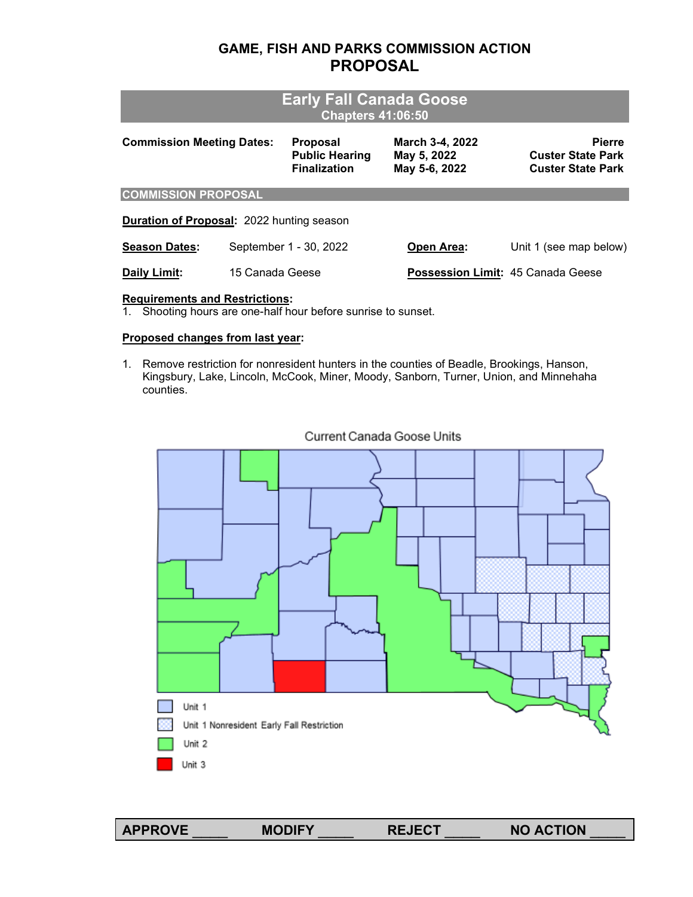# **GAME, FISH AND PARKS COMMISSION ACTION PROPOSAL**

| <b>Early Fall Canada Goose</b><br><b>Chapters 41:06:50</b> |                 |                                                                 |                                                 |                                                                       |  |  |  |
|------------------------------------------------------------|-----------------|-----------------------------------------------------------------|-------------------------------------------------|-----------------------------------------------------------------------|--|--|--|
| <b>Commission Meeting Dates:</b>                           |                 | <b>Proposal</b><br><b>Public Hearing</b><br><b>Finalization</b> | March 3-4, 2022<br>May 5, 2022<br>May 5-6, 2022 | <b>Pierre</b><br><b>Custer State Park</b><br><b>Custer State Park</b> |  |  |  |
| <b>COMMISSION PROPOSAL</b>                                 |                 |                                                                 |                                                 |                                                                       |  |  |  |
| <b>Duration of Proposal: 2022 hunting season</b>           |                 |                                                                 |                                                 |                                                                       |  |  |  |
| <b>Season Dates:</b>                                       |                 | September 1 - 30, 2022                                          | Open Area:                                      | Unit 1 (see map below)                                                |  |  |  |
| Daily Limit:                                               | 15 Canada Geese |                                                                 | <b>Possession Limit: 45 Canada Geese</b>        |                                                                       |  |  |  |

## **Requirements and Restrictions:**

1. Shooting hours are one-half hour before sunrise to sunset.

### **Proposed changes from last year:**

1. Remove restriction for nonresident hunters in the counties of Beadle, Brookings, Hanson, Kingsbury, Lake, Lincoln, McCook, Miner, Moody, Sanborn, Turner, Union, and Minnehaha counties.



### Current Canada Goose Units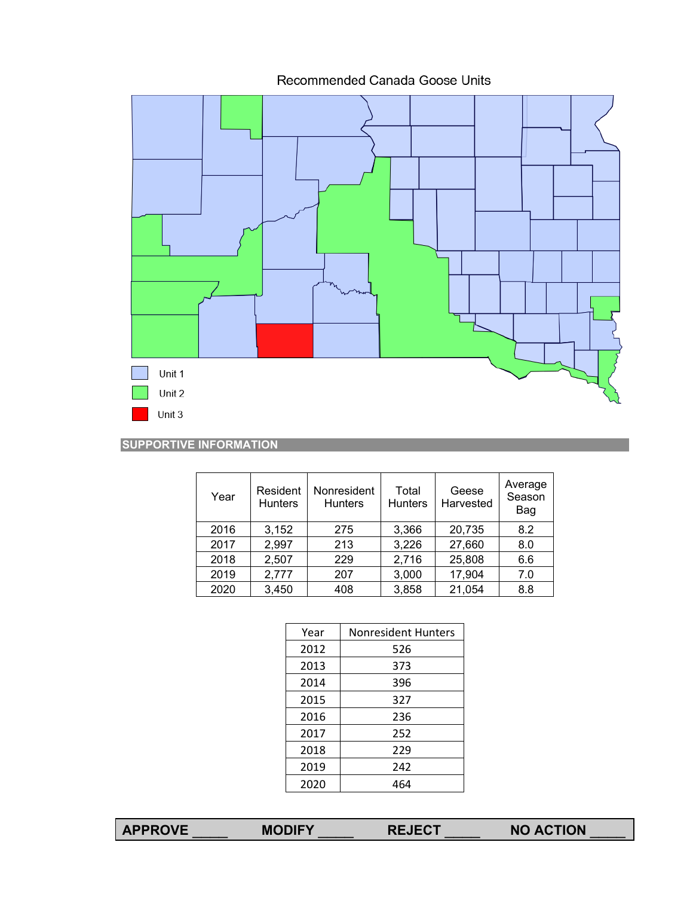Recommended Canada Goose Units



## **SUPPORTIVE INFORMATION**

| Year | Resident<br><b>Hunters</b> | Nonresident<br><b>Hunters</b> | Total<br><b>Hunters</b> | Geese<br>Harvested | Average<br>Season<br>Bag |
|------|----------------------------|-------------------------------|-------------------------|--------------------|--------------------------|
| 2016 | 3,152                      | 275                           | 3,366                   | 20,735             | 8.2                      |
| 2017 | 2,997                      | 213                           | 3,226                   | 27,660             | 8.0                      |
| 2018 | 2,507                      | 229                           | 2,716                   | 25,808             | 6.6                      |
| 2019 | 2,777                      | 207                           | 3,000                   | 17,904             | 7.0                      |
| 2020 | 3,450                      | 408                           | 3,858                   | 21,054             | 8.8                      |

| Year | <b>Nonresident Hunters</b> |
|------|----------------------------|
| 2012 | 526                        |
| 2013 | 373                        |
| 2014 | 396                        |
| 2015 | 327                        |
| 2016 | 236                        |
| 2017 | 252                        |
| 2018 | 229                        |
| 2019 | 242                        |
| 2020 |                            |